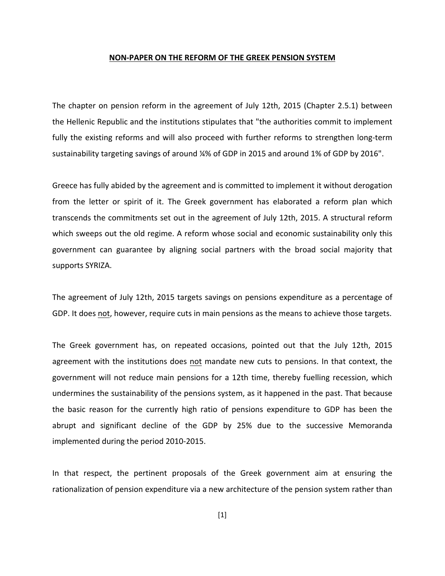## **NON-PAPER ON THE REFORM OF THE GREEK PENSION SYSTEM**

The chapter on pension reform in the agreement of July 12th, 2015 (Chapter 2.5.1) between the Hellenic Republic and the institutions stipulates that "the authorities commit to implement fully the existing reforms and will also proceed with further reforms to strengthen long-term sustainability targeting savings of around  $\frac{1}{2}$ % of GDP in 2015 and around 1% of GDP by 2016".

Greece has fully abided by the agreement and is committed to implement it without derogation from the letter or spirit of it. The Greek government has elaborated a reform plan which transcends the commitments set out in the agreement of July 12th, 2015. A structural reform which sweeps out the old regime. A reform whose social and economic sustainability only this government can guarantee by aligning social partners with the broad social majority that supports SYRIZA.

The agreement of July 12th, 2015 targets savings on pensions expenditure as a percentage of GDP. It does not, however, require cuts in main pensions as the means to achieve those targets.

The Greek government has, on repeated occasions, pointed out that the July 12th, 2015 agreement with the institutions does not mandate new cuts to pensions. In that context, the government will not reduce main pensions for a 12th time, thereby fuelling recession, which undermines the sustainability of the pensions system, as it happened in the past. That because the basic reason for the currently high ratio of pensions expenditure to GDP has been the abrupt and significant decline of the GDP by 25% due to the successive Memoranda implemented during the period 2010-2015.

In that respect, the pertinent proposals of the Greek government aim at ensuring the rationalization of pension expenditure via a new architecture of the pension system rather than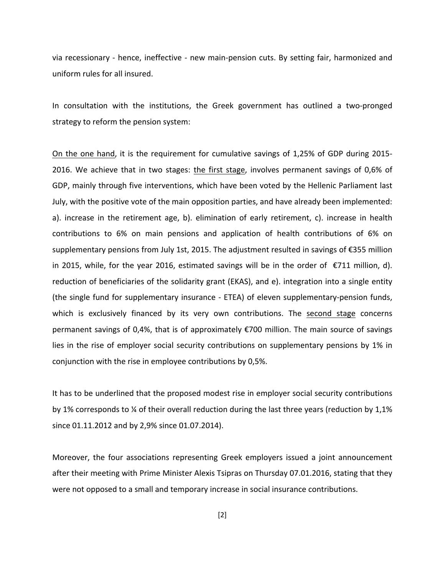via recessionary - hence, ineffective - new main-pension cuts. By setting fair, harmonized and uniform rules for all insured.

In consultation with the institutions, the Greek government has outlined a two-pronged strategy to reform the pension system:

On the one hand, it is the requirement for cumulative savings of 1,25% of GDP during 2015-2016. We achieve that in two stages: the first stage, involves permanent savings of 0,6% of GDP, mainly through five interventions, which have been voted by the Hellenic Parliament last July, with the positive vote of the main opposition parties, and have already been implemented: a). increase in the retirement age, b). elimination of early retirement, c). increase in health contributions to 6% on main pensions and application of health contributions of 6% on supplementary pensions from July 1st, 2015. The adjustment resulted in savings of  $\epsilon$ 355 million in 2015, while, for the year 2016, estimated savings will be in the order of  $\epsilon$ 711 million, d). reduction of beneficiaries of the solidarity grant (EKAS), and e). integration into a single entity (the single fund for supplementary insurance - ETEA) of eleven supplementary-pension funds, which is exclusively financed by its very own contributions. The second stage concerns permanent savings of 0,4%, that is of approximately  $\epsilon$ 700 million. The main source of savings lies in the rise of employer social security contributions on supplementary pensions by 1% in conjunction with the rise in employee contributions by 0,5%.

It has to be underlined that the proposed modest rise in employer social security contributions by 1% corresponds to  $\frac{1}{4}$  of their overall reduction during the last three years (reduction by 1,1% since 01.11.2012 and by 2,9% since 01.07.2014).

Moreover, the four associations representing Greek employers issued a joint announcement after their meeting with Prime Minister Alexis Tsipras on Thursday 07.01.2016, stating that they were not opposed to a small and temporary increase in social insurance contributions.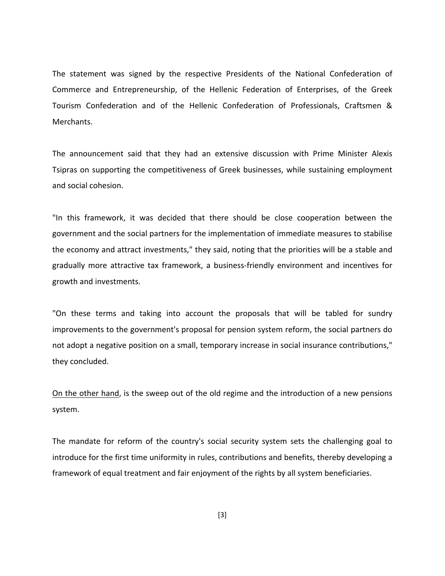The statement was signed by the respective Presidents of the National Confederation of Commerce and Entrepreneurship, of the Hellenic Federation of Enterprises, of the Greek Tourism Confederation and of the Hellenic Confederation of Professionals, Craftsmen & Merchants.

The announcement said that they had an extensive discussion with Prime Minister Alexis Tsipras on supporting the competitiveness of Greek businesses, while sustaining employment and social cohesion.

"In this framework, it was decided that there should be close cooperation between the government and the social partners for the implementation of immediate measures to stabilise the economy and attract investments," they said, noting that the priorities will be a stable and gradually more attractive tax framework, a business-friendly environment and incentives for growth and investments.

"On these terms and taking into account the proposals that will be tabled for sundry improvements to the government's proposal for pension system reform, the social partners do not adopt a negative position on a small, temporary increase in social insurance contributions," they concluded.

On the other hand, is the sweep out of the old regime and the introduction of a new pensions system.

The mandate for reform of the country's social security system sets the challenging goal to introduce for the first time uniformity in rules, contributions and benefits, thereby developing a framework of equal treatment and fair enjoyment of the rights by all system beneficiaries.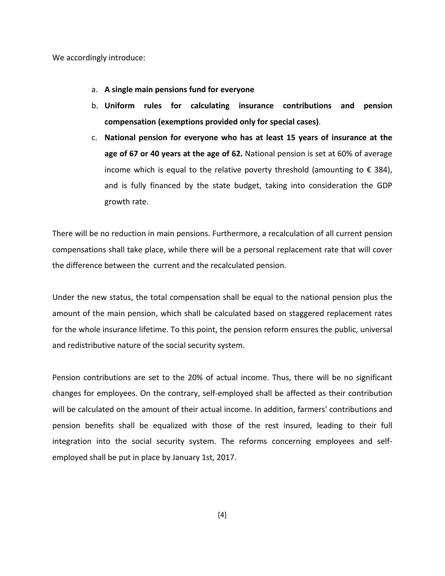We accordingly introduce:

- a. **A** single main pensions fund for everyone
- b. Uniform rules for calculating insurance contributions and pension **compensation (exemptions provided only for special cases)**.
- c. National pension for everyone who has at least 15 years of insurance at the **age of 67 or 40 years at the age of 62.** National pension is set at 60% of average income which is equal to the relative poverty threshold (amounting to  $\epsilon$  384), and is fully financed by the state budget, taking into consideration the GDP growth rate.

There will be no reduction in main pensions. Furthermore, a recalculation of all current pension compensations shall take place, while there will be a personal replacement rate that will cover the difference between the current and the recalculated pension.

Under the new status, the total compensation shall be equal to the national pension plus the amount of the main pension, which shall be calculated based on staggered replacement rates for the whole insurance lifetime. To this point, the pension reform ensures the public, universal and redistributive nature of the social security system.

Pension contributions are set to the 20% of actual income. Thus, there will be no significant changes for employees. On the contrary, self-employed shall be affected as their contribution will be calculated on the amount of their actual income. In addition, farmers' contributions and pension benefits shall be equalized with those of the rest insured, leading to their full integration into the social security system. The reforms concerning employees and selfemployed shall be put in place by January 1st, 2017.